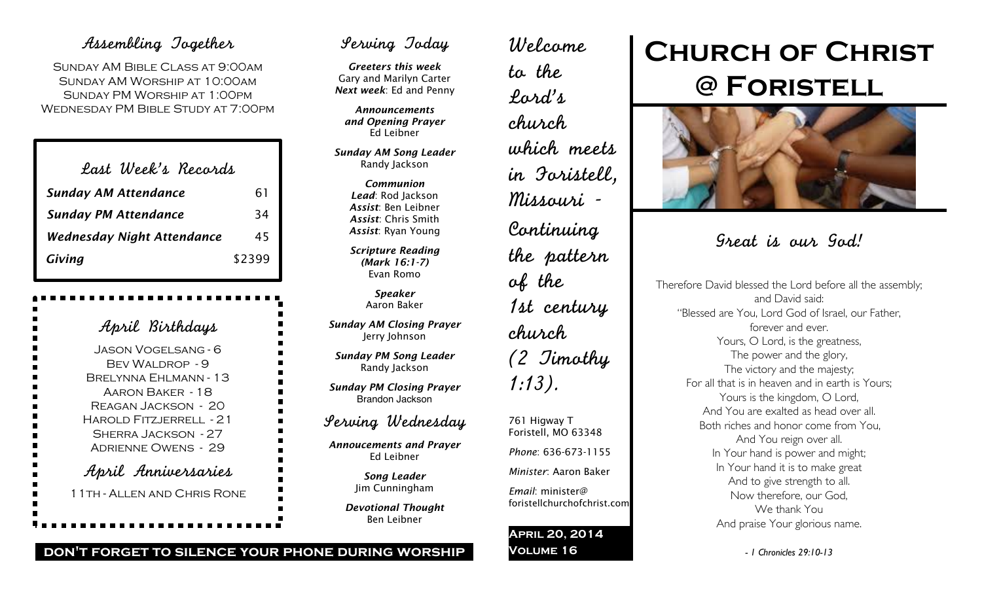## Assembling Together

Sunday AM Bible Class at 9:00am Sunday AM Worship at 10:00am Sunday PM Worship at 1:00pm Wednesday PM Bible Study at 7:00pm

| Last Week's Records               |        |
|-----------------------------------|--------|
| <b>Sunday AM Attendance</b>       | 61     |
| <b>Sunday PM Attendance</b>       | 34     |
| <b>Wednesday Night Attendance</b> | 45     |
| Giving                            | \$2399 |

| April Birthdays              |
|------------------------------|
| <b>JASON VOGELSANG - 6</b>   |
| <b>BEV WALDROP - 9</b>       |
| <b>BRELYNNA EHLMANN - 13</b> |
| Aaron Baker - 18             |
| REAGAN JACKSON - 20          |
| HAROLD FITZJERRELL - 21      |
| <b>SHERRA JACKSON - 27</b>   |
| <b>ADRIENNE OWENS - 29</b>   |
| April Anniversaries          |
| 11TH - ALLEN AND CHRIS RONE  |
|                              |

## Serving Today

*Greeters this week* Gary and Marilyn Carter *Next week*: Ed and Penny

*Announcements and Opening Prayer* Ed Leibner

*Sunday AM Song Leader* Randy Jackson

> *Communion Lead*: Rod Jackson *Assist*: Ben Leibner *Assist*: Chris Smith *Assist*: Ryan Young

*Scripture Reading (Mark 16:1-7)* Evan Romo

> *Speaker* Aaron Baker

*Sunday AM Closing Prayer* Jerry Johnson

*Sunday PM Song Leader* Randy Jackson

*Sunday PM Closing Prayer* Brandon Jackson

## Serving Wednesday

*Annoucements and Prayer* Ed Leibner

> *Song Leader* Jim Cunningham

*Devotional Thought* Ben Leibner

Welcome to the Lord's church which meets in Foristell, Missouri - Continuing the pattern of the 1st century church (2 Timothy 1:13). 761 Higway T

Foristell, MO 63348 *Phone*: 636-673-1155 *Minister*: Aaron Baker *Email*: minister@

foristellchurchofchrist.com

**April 20, 2014 Volume 16**

# **Church of Christ @ Foristell**



## Great is our God!

Therefore David blessed the Lord before all the assembly; and David said: "Blessed are You, Lord God of Israel, our Father, forever and ever. Yours, O Lord, is the greatness, The power and the glory, The victory and the majesty; For all that is in heaven and in earth is Yours; Yours is the kingdom, O Lord, And You are exalted as head over all. Both riches and honor come from You, And You reign over all. In Your hand is power and might; In Your hand it is to make great And to give strength to all. Now therefore, our God, We thank You And praise Your glorious name.

*- 1 Chronicles 29:10-13*

**don't forget to silence your phone during worship**